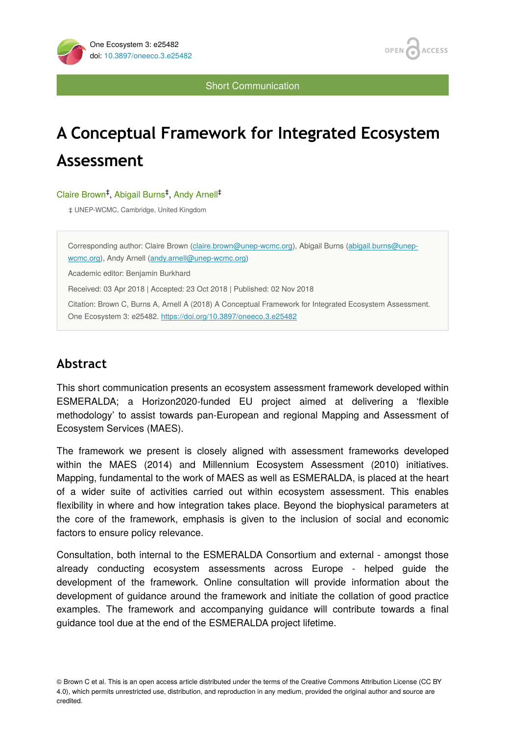



Short Communication

# **A Conceptual Framework for Integrated Ecosystem Assessment**

#### Claire Brown<sup>‡</sup>, Abigail Burns<sup>‡</sup>, Andy Arnell<sup>‡</sup>

‡ UNEP-WCMC, Cambridge, United Kingdom

Corresponding author: Claire Brown [\(claire.brown@unep-wcmc.org\)](mailto:claire.brown@unep-wcmc.org), Abigail Burns [\(abigail.burns@unep](mailto:abigail.burns@unep-wcmc.org)[wcmc.org\)](mailto:abigail.burns@unep-wcmc.org), Andy Arnell [\(andy.arnell@unep-wcmc.org\)](mailto:andy.arnell@unep-wcmc.org) Academic editor: Benjamin Burkhard Received: 03 Apr 2018 | Accepted: 23 Oct 2018 | Published: 02 Nov 2018 Citation: Brown C, Burns A, Arnell A (2018) A Conceptual Framework for Integrated Ecosystem Assessment. One Ecosystem 3: e25482.<https://doi.org/10.3897/oneeco.3.e25482>

# **Abstract**

This short communication presents an ecosystem assessment framework developed within ESMERALDA; a Horizon2020-funded EU project aimed at delivering a 'flexible methodology' to assist towards pan-European and regional Mapping and Assessment of Ecosystem Services (MAES).

The framework we present is closely aligned with assessment frameworks developed within the MAES (2014) and Millennium Ecosystem Assessment (2010) initiatives. Mapping, fundamental to the work of MAES as well as ESMERALDA, is placed at the heart of a wider suite of activities carried out within ecosystem assessment. This enables flexibility in where and how integration takes place. Beyond the biophysical parameters at the core of the framework, emphasis is given to the inclusion of social and economic factors to ensure policy relevance.

Consultation, both internal to the ESMERALDA Consortium and external - amongst those already conducting ecosystem assessments across Europe - helped guide the development of the framework. Online consultation will provide information about the development of guidance around the framework and initiate the collation of good practice examples. The framework and accompanying guidance will contribute towards a final guidance tool due at the end of the ESMERALDA project lifetime.

<sup>©</sup> Brown C et al. This is an open access article distributed under the terms of the Creative Commons Attribution License (CC BY 4.0), which permits unrestricted use, distribution, and reproduction in any medium, provided the original author and source are credited.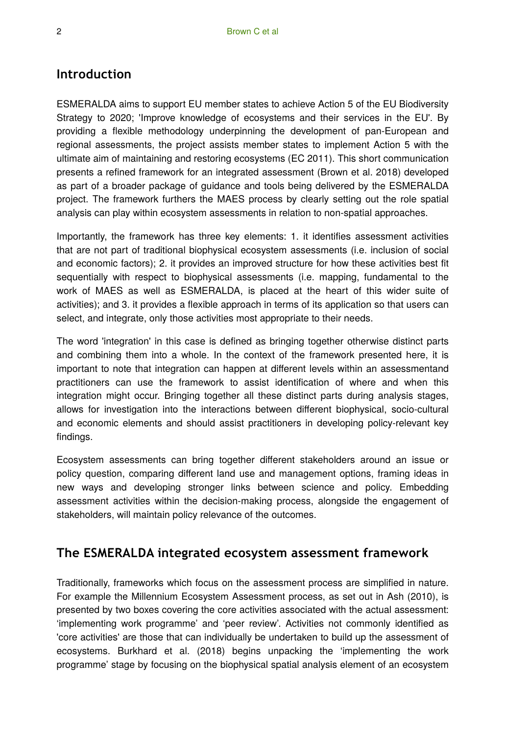## **Introduction**

ESMERALDA aims to support EU member states to achieve Action 5 of the EU Biodiversity Strategy to 2020; 'Improve knowledge of ecosystems and their services in the EU'. By providing a flexible methodology underpinning the development of pan-European and regional assessments, the project assists member states to implement Action 5 with the ultimate aim of maintaining and restoring ecosystems (EC 2011). This short communication presents a refined framework for an integrated assessment (Brown et al. 2018) developed as part of a broader package of guidance and tools being delivered by the ESMERALDA project. The framework furthers the MAES process by clearly setting out the role spatial analysis can play within ecosystem assessments in relation to non-spatial approaches.

Importantly, the framework has three key elements: 1. it identifies assessment activities that are not part of traditional biophysical ecosystem assessments (i.e. inclusion of social and economic factors); 2. it provides an improved structure for how these activities best fit sequentially with respect to biophysical assessments (i.e. mapping, fundamental to the work of MAES as well as ESMERALDA, is placed at the heart of this wider suite of activities); and 3. it provides a flexible approach in terms of its application so that users can select, and integrate, only those activities most appropriate to their needs.

The word 'integration' in this case is defined as bringing together otherwise distinct parts and combining them into a whole. In the context of the framework presented here, it is important to note that integration can happen at different levels within an assessmentand practitioners can use the framework to assist identification of where and when this integration might occur. Bringing together all these distinct parts during analysis stages, allows for investigation into the interactions between different biophysical, socio-cultural and economic elements and should assist practitioners in developing policy-relevant key findings.

Ecosystem assessments can bring together different stakeholders around an issue or policy question, comparing different land use and management options, framing ideas in new ways and developing stronger links between science and policy. Embedding assessment activities within the decision-making process, alongside the engagement of stakeholders, will maintain policy relevance of the outcomes.

## **The ESMERALDA integrated ecosystem assessment framework**

Traditionally, frameworks which focus on the assessment process are simplified in nature. For example the Millennium Ecosystem Assessment process, as set out in Ash (2010), is presented by two boxes covering the core activities associated with the actual assessment: 'implementing work programme' and 'peer review'. Activities not commonly identified as 'core activities' are those that can individually be undertaken to build up the assessment of ecosystems. Burkhard et al. (2018) begins unpacking the 'implementing the work programme' stage by focusing on the biophysical spatial analysis element of an ecosystem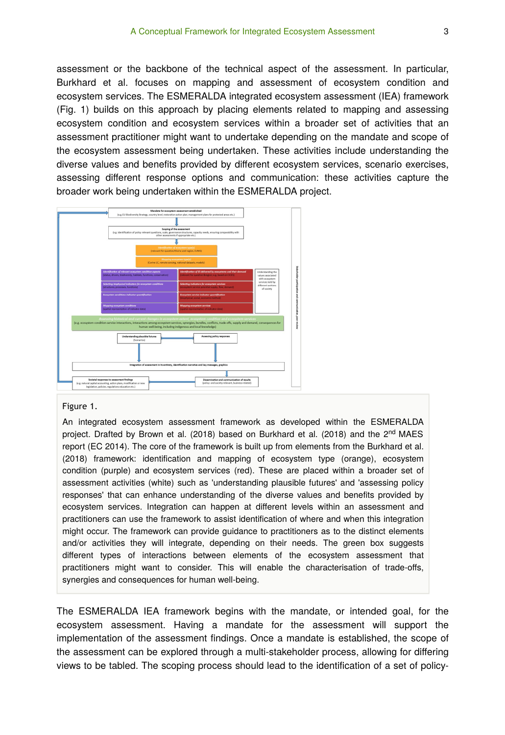assessment or the backbone of the technical aspect of the assessment. In particular, Burkhard et al. focuses on mapping and assessment of ecosystem condition and ecosystem services. The ESMERALDA integrated ecosystem assessment (IEA) framework (Fig. 1) builds on this approach by placing elements related to mapping and assessing ecosystem condition and ecosystem services within a broader set of activities that an assessment practitioner might want to undertake depending on the mandate and scope of the ecosystem assessment being undertaken. These activities include understanding the diverse values and benefits provided by different ecosystem services, scenario exercises, assessing different response options and communication: these activities capture the broader work being undertaken within the ESMERALDA project.



#### Figure 1.

An integrated ecosystem assessment framework as developed within the ESMERALDA project. Drafted by Brown et al. (2018) based on Burkhard et al. (2018) and the 2<sup>nd</sup> MAES report (EC 2014). The core of the framework is built up from elements from the Burkhard et al. (2018) framework: identification and mapping of ecosystem type (orange), ecosystem condition (purple) and ecosystem services (red). These are placed within a broader set of assessment activities (white) such as 'understanding plausible futures' and 'assessing policy responses' that can enhance understanding of the diverse values and benefits provided by ecosystem services. Integration can happen at different levels within an assessment and practitioners can use the framework to assist identification of where and when this integration might occur. The framework can provide guidance to practitioners as to the distinct elements and/or activities they will integrate, depending on their needs. The green box suggests different types of interactions between elements of the ecosystem assessment that practitioners might want to consider. This will enable the characterisation of trade-offs, synergies and consequences for human well-being.

The ESMERALDA IEA framework begins with the mandate, or intended goal, for the ecosystem assessment. Having a mandate for the assessment will support the implementation of the assessment findings. Once a mandate is established, the scope of the assessment can be explored through a multi-stakeholder process, allowing for differing views to be tabled. The scoping process should lead to the identification of a set of policy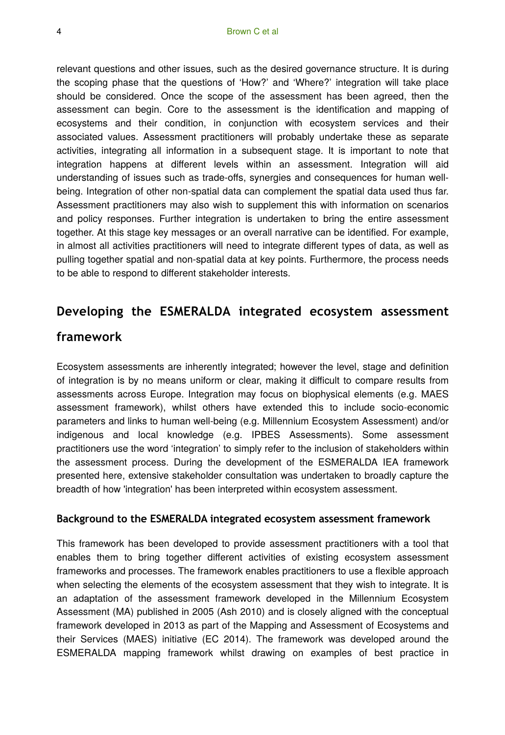relevant questions and other issues, such as the desired governance structure. It is during the scoping phase that the questions of 'How?' and 'Where?' integration will take place should be considered. Once the scope of the assessment has been agreed, then the assessment can begin. Core to the assessment is the identification and mapping of ecosystems and their condition, in conjunction with ecosystem services and their associated values. Assessment practitioners will probably undertake these as separate activities, integrating all information in a subsequent stage. It is important to note that integration happens at different levels within an assessment. Integration will aid understanding of issues such as trade-offs, synergies and consequences for human wellbeing. Integration of other non-spatial data can complement the spatial data used thus far. Assessment practitioners may also wish to supplement this with information on scenarios and policy responses. Further integration is undertaken to bring the entire assessment together. At this stage key messages or an overall narrative can be identified. For example, in almost all activities practitioners will need to integrate different types of data, as well as pulling together spatial and non-spatial data at key points. Furthermore, the process needs to be able to respond to different stakeholder interests.

# **Developing the ESMERALDA integrated ecosystem assessment**

#### **framework**

Ecosystem assessments are inherently integrated; however the level, stage and definition of integration is by no means uniform or clear, making it difficult to compare results from assessments across Europe. Integration may focus on biophysical elements (e.g. MAES assessment framework), whilst others have extended this to include socio-economic parameters and links to human well-being (e.g. Millennium Ecosystem Assessment) and/or indigenous and local knowledge (e.g. IPBES Assessments). Some assessment practitioners use the word 'integration' to simply refer to the inclusion of stakeholders within the assessment process. During the development of the ESMERALDA IEA framework presented here, extensive stakeholder consultation was undertaken to broadly capture the breadth of how 'integration' has been interpreted within ecosystem assessment.

#### **Background to the ESMERALDA integrated ecosystem assessment framework**

This framework has been developed to provide assessment practitioners with a tool that enables them to bring together different activities of existing ecosystem assessment frameworks and processes. The framework enables practitioners to use a flexible approach when selecting the elements of the ecosystem assessment that they wish to integrate. It is an adaptation of the assessment framework developed in the Millennium Ecosystem Assessment (MA) published in 2005 (Ash 2010) and is closely aligned with the conceptual framework developed in 2013 as part of the Mapping and Assessment of Ecosystems and their Services (MAES) initiative (EC 2014). The framework was developed around the ESMERALDA mapping framework whilst drawing on examples of best practice in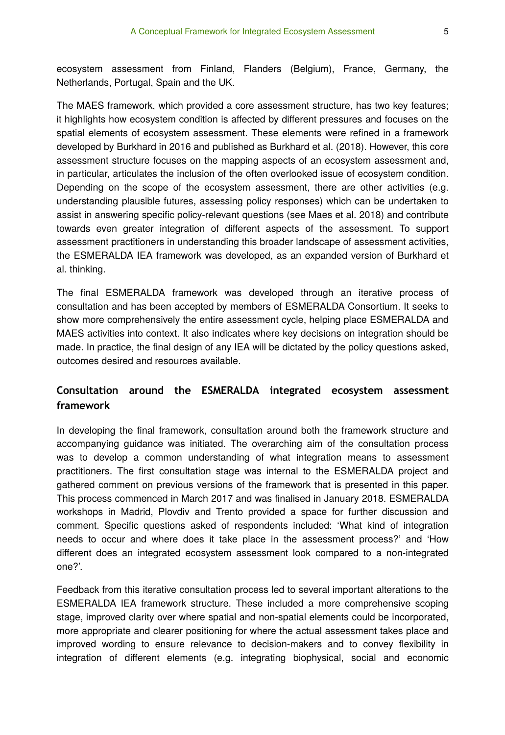ecosystem assessment from Finland, Flanders (Belgium), France, Germany, the Netherlands, Portugal, Spain and the UK.

The MAES framework, which provided a core assessment structure, has two key features; it highlights how ecosystem condition is affected by different pressures and focuses on the spatial elements of ecosystem assessment. These elements were refined in a framework developed by Burkhard in 2016 and published as Burkhard et al. (2018). However, this core assessment structure focuses on the mapping aspects of an ecosystem assessment and, in particular, articulates the inclusion of the often overlooked issue of ecosystem condition. Depending on the scope of the ecosystem assessment, there are other activities (e.g. understanding plausible futures, assessing policy responses) which can be undertaken to assist in answering specific policy-relevant questions (see Maes et al. 2018) and contribute towards even greater integration of different aspects of the assessment. To support assessment practitioners in understanding this broader landscape of assessment activities, the ESMERALDA IEA framework was developed, as an expanded version of Burkhard et al. thinking.

The final ESMERALDA framework was developed through an iterative process of consultation and has been accepted by members of ESMERALDA Consortium. It seeks to show more comprehensively the entire assessment cycle, helping place ESMERALDA and MAES activities into context. It also indicates where key decisions on integration should be made. In practice, the final design of any IEA will be dictated by the policy questions asked, outcomes desired and resources available.

## **Consultation around the ESMERALDA integrated ecosystem assessment framework**

In developing the final framework, consultation around both the framework structure and accompanying guidance was initiated. The overarching aim of the consultation process was to develop a common understanding of what integration means to assessment practitioners. The first consultation stage was internal to the ESMERALDA project and gathered comment on previous versions of the framework that is presented in this paper. This process commenced in March 2017 and was finalised in January 2018. ESMERALDA workshops in Madrid, Plovdiv and Trento provided a space for further discussion and comment. Specific questions asked of respondents included: 'What kind of integration needs to occur and where does it take place in the assessment process?' and 'How different does an integrated ecosystem assessment look compared to a non-integrated one?'.

Feedback from this iterative consultation process led to several important alterations to the ESMERALDA IEA framework structure. These included a more comprehensive scoping stage, improved clarity over where spatial and non-spatial elements could be incorporated, more appropriate and clearer positioning for where the actual assessment takes place and improved wording to ensure relevance to decision-makers and to convey flexibility in integration of different elements (e.g. integrating biophysical, social and economic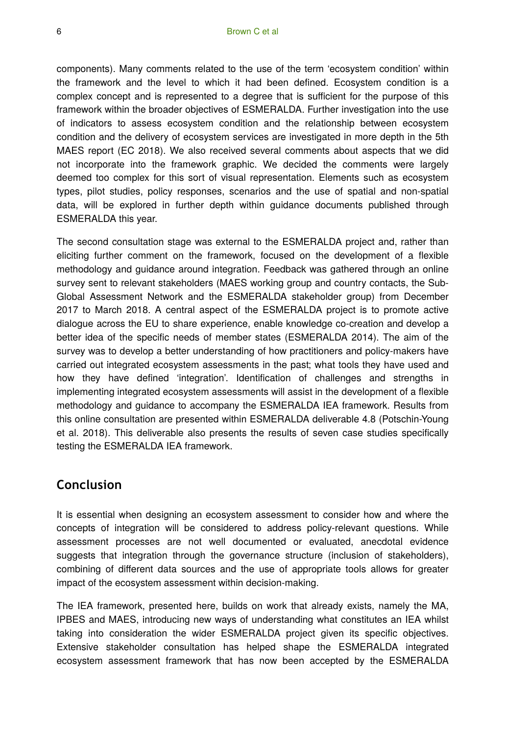components). Many comments related to the use of the term 'ecosystem condition' within the framework and the level to which it had been defined. Ecosystem condition is a complex concept and is represented to a degree that is sufficient for the purpose of this framework within the broader objectives of ESMERALDA. Further investigation into the use of indicators to assess ecosystem condition and the relationship between ecosystem condition and the delivery of ecosystem services are investigated in more depth in the 5th MAES report (EC 2018). We also received several comments about aspects that we did not incorporate into the framework graphic. We decided the comments were largely deemed too complex for this sort of visual representation. Elements such as ecosystem types, pilot studies, policy responses, scenarios and the use of spatial and non-spatial data, will be explored in further depth within guidance documents published through ESMERALDA this year.

The second consultation stage was external to the ESMERALDA project and, rather than eliciting further comment on the framework, focused on the development of a flexible methodology and guidance around integration. Feedback was gathered through an online survey sent to relevant stakeholders (MAES working group and country contacts, the Sub-Global Assessment Network and the ESMERALDA stakeholder group) from December 2017 to March 2018. A central aspect of the ESMERALDA project is to promote active dialogue across the EU to share experience, enable knowledge co-creation and develop a better idea of the specific needs of member states (ESMERALDA 2014). The aim of the survey was to develop a better understanding of how practitioners and policy-makers have carried out integrated ecosystem assessments in the past; what tools they have used and how they have defined 'integration'. Identification of challenges and strengths in implementing integrated ecosystem assessments will assist in the development of a flexible methodology and guidance to accompany the ESMERALDA IEA framework. Results from this online consultation are presented within ESMERALDA deliverable 4.8 (Potschin-Young et al. 2018). This deliverable also presents the results of seven case studies specifically testing the ESMERALDA IEA framework.

# **Conclusion**

It is essential when designing an ecosystem assessment to consider how and where the concepts of integration will be considered to address policy-relevant questions. While assessment processes are not well documented or evaluated, anecdotal evidence suggests that integration through the governance structure (inclusion of stakeholders), combining of different data sources and the use of appropriate tools allows for greater impact of the ecosystem assessment within decision-making.

The IEA framework, presented here, builds on work that already exists, namely the MA, IPBES and MAES, introducing new ways of understanding what constitutes an IEA whilst taking into consideration the wider ESMERALDA project given its specific objectives. Extensive stakeholder consultation has helped shape the ESMERALDA integrated ecosystem assessment framework that has now been accepted by the ESMERALDA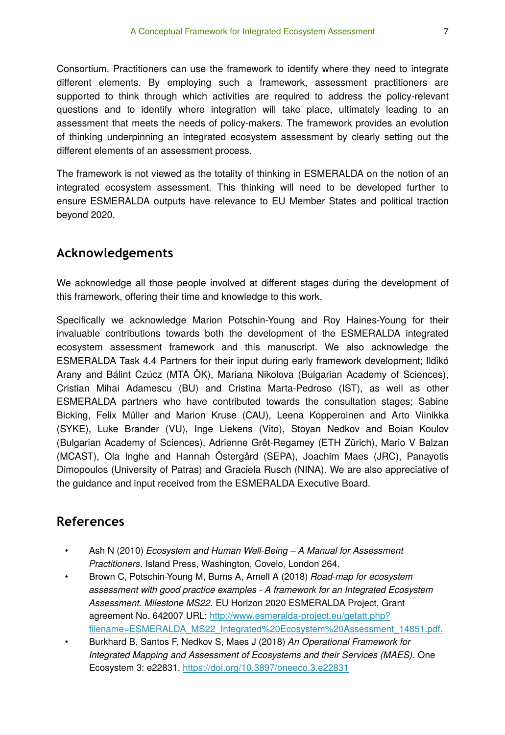Consortium. Practitioners can use the framework to identify where they need to integrate different elements. By employing such a framework, assessment practitioners are supported to think through which activities are required to address the policy-relevant questions and to identify where integration will take place, ultimately leading to an assessment that meets the needs of policy-makers. The framework provides an evolution of thinking underpinning an integrated ecosystem assessment by clearly setting out the different elements of an assessment process.

The framework is not viewed as the totality of thinking in ESMERALDA on the notion of an integrated ecosystem assessment. This thinking will need to be developed further to ensure ESMERALDA outputs have relevance to EU Member States and political traction beyond 2020.

# **Acknowledgements**

We acknowledge all those people involved at different stages during the development of this framework, offering their time and knowledge to this work.

Specifically we acknowledge Marion Potschin-Young and Roy Haines-Young for their invaluable contributions towards both the development of the ESMERALDA integrated ecosystem assessment framework and this manuscript. We also acknowledge the ESMERALDA Task 4.4 Partners for their input during early framework development; Ildikó Arany and Bálint Czúcz (MTA ÖK), Mariana Nikolova (Bulgarian Academy of Sciences), Cristian Mihai Adamescu (BU) and Cristina Marta-Pedroso (IST), as well as other ESMERALDA partners who have contributed towards the consultation stages; Sabine Bicking, Felix Müller and Marion Kruse (CAU), Leena Kopperoinen and Arto Viinikka (SYKE), Luke Brander (VU), Inge Liekens (Vito), Stoyan Nedkov and Boian Koulov (Bulgarian Academy of Sciences), Adrienne Grêt-Regamey (ETH Zürich), Mario V Balzan (MCAST), Ola Inghe and Hannah Östergård (SEPA), Joachim Maes (JRC), Panayotis Dimopoulos (University of Patras) and Graciela Rusch (NINA). We are also appreciative of the guidance and input received from the ESMERALDA Executive Board.

# **References**

- Ash N (2010) *Ecosystem and Human Well-Being A Manual for Assessment Practitioners*. Island Press, Washington, Covelo, London 264.
- Brown C, Potschin-Young M, Burns A, Arnell A (2018) *Road-map for ecosystem assessment with good practice examples - A framework for an Integrated Ecosystem Assessment. Milestone MS22*. EU Horizon 2020 ESMERALDA Project, Grant agreement No. 642007 URL: [http://www.esmeralda-project.eu/getatt.php?](http://www.esmeralda-project.eu/getatt.php?filename=ESMERALDA_MS22_Integrated%20Ecosystem%20Assessment_14851.pdf.) fi[lename=ESMERALDA\\_MS22\\_Integrated%20Ecosystem%20Assessment\\_14851.pdf.](http://www.esmeralda-project.eu/getatt.php?filename=ESMERALDA_MS22_Integrated%20Ecosystem%20Assessment_14851.pdf.)
- Burkhard B, Santos F, Nedkov S, Maes J (2018) *An Operational Framework for Integrated Mapping and Assessment of Ecosystems and their Services (MAES)*. One Ecosystem 3: e22831.<https://doi.org/10.3897/oneeco.3.e22831>